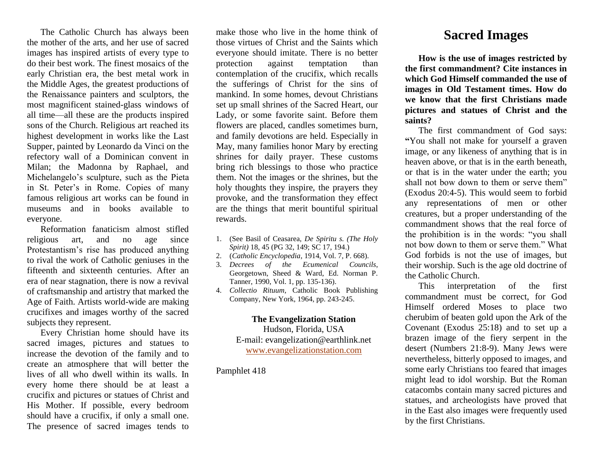The Catholic Church has always been the mother of the arts, and her use of sacred images has inspired artists of every type to do their best work. The finest mosaics of the early Christian era, the best metal work in the Middle Ages, the greatest productions of the Renaissance painters and sculptors, the most magnificent stained-glass windows of all time—all these are the products inspired sons of the Church. Religious art reached its highest development in works like the Last Supper, painted by Leonardo da Vinci on the refectory wall of a Dominican convent in Milan; the Madonna by Raphael, and Michelangelo's sculpture, such as the Pieta in St. Peter's in Rome. Copies of many famous religious art works can be found in museums and in books available to everyone.

Reformation fanaticism almost stifled religious art, and no age since Protestantism's rise has produced anything to rival the work of Catholic geniuses in the fifteenth and sixteenth centuries. After an era of near stagnation, there is now a revival of craftsmanship and artistry that marked the Age of Faith. Artists world-wide are making crucifixes and images worthy of the sacred subjects they represent.

Every Christian home should have its sacred images, pictures and statues to increase the devotion of the family and to create an atmosphere that will better the lives of all who dwell within its walls. In every home there should be at least a crucifix and pictures or statues of Christ and His Mother. If possible, every bedroom should have a crucifix, if only a small one. The presence of sacred images tends to

make those who live in the home think of those virtues of Christ and the Saints which everyone should imitate. There is no better protection against temptation than contemplation of the crucifix, which recalls the sufferings of Christ for the sins of mankind. In some homes, devout Christians set up small shrines of the Sacred Heart, our Lady, or some favorite saint. Before them flowers are placed, candles sometimes burn, and family devotions are held. Especially in May, many families honor Mary by erecting shrines for daily prayer. These customs bring rich blessings to those who practice them. Not the images or the shrines, but the holy thoughts they inspire, the prayers they provoke, and the transformation they effect are the things that merit bountiful spiritual rewards.

- 1. (See Basil of Ceasarea, *De Spiritu s. (The Holy Spirit)* 18, 45 (PG 32, 149; SC 17, 194.)
- 2. (*Catholic Encyclopedia*, 1914, Vol. 7, P. 668).
- 3. *Decrees of the Ecumenical Councils*, Georgetown, Sheed & Ward, Ed. Norman P. Tanner, 1990, Vol. 1, pp. 135-136).
- 4. *Collectio Rituum,* Catholic Book Publishing Company, New York, 1964, pp. 243-245.

**The Evangelization Station**  Hudson, Florida, USA E-mail: evangelization@earthlink.net [www.evangelizationstation.com](http://www.pjpiisoe.org/)

## Pamphlet 418

## **Sacred Images**

**How is the use of images restricted by the first commandment? Cite instances in which God Himself commanded the use of images in Old Testament times. How do we know that the first Christians made pictures and statues of Christ and the saints?**

The first commandment of God says: **"**You shall not make for yourself a graven image, or any likeness of anything that is in heaven above, or that is in the earth beneath, or that is in the water under the earth; you shall not bow down to them or serve them" (Exodus 20:4-5). This would seem to forbid any representations of men or other creatures, but a proper understanding of the commandment shows that the real force of the prohibition is in the words: "you shall not bow down to them or serve them." What God forbids is not the use of images, but their worship. Such is the age old doctrine of the Catholic Church.

This interpretation of the first commandment must be correct, for God Himself ordered Moses to place two cherubim of beaten gold upon the Ark of the Covenant (Exodus 25:18) and to set up a brazen image of the fiery serpent in the desert (Numbers 21:8-9). Many Jews were nevertheless, bitterly opposed to images, and some early Christians too feared that images might lead to idol worship. But the Roman catacombs contain many sacred pictures and statues, and archeologists have proved that in the East also images were frequently used by the first Christians.